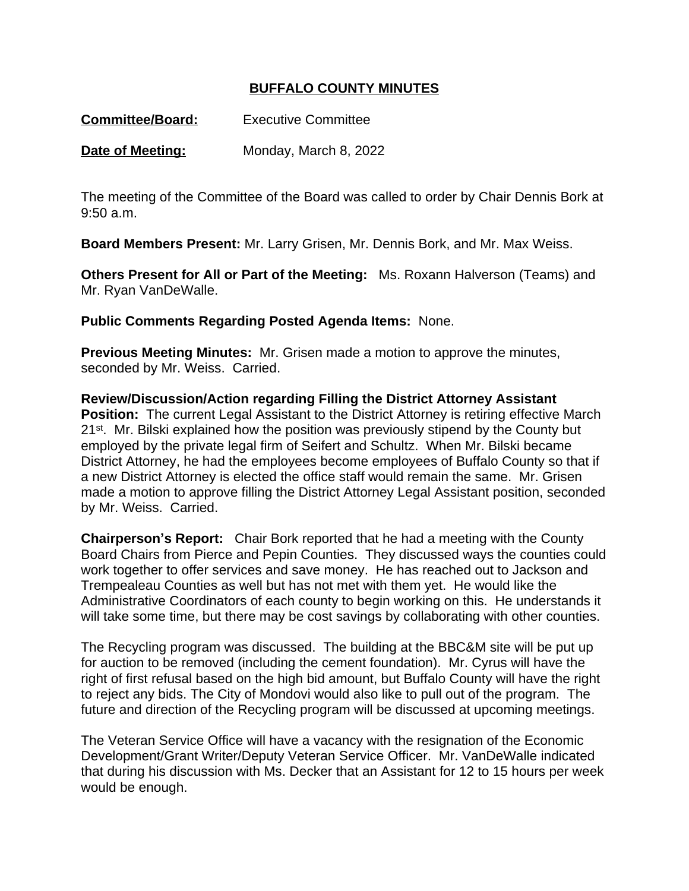## **BUFFALO COUNTY MINUTES**

**Date of Meeting:** Monday, March 8, 2022

The meeting of the Committee of the Board was called to order by Chair Dennis Bork at 9:50 a.m.

**Board Members Present:** Mr. Larry Grisen, Mr. Dennis Bork, and Mr. Max Weiss.

**Others Present for All or Part of the Meeting:** Ms. Roxann Halverson (Teams) and Mr. Ryan VanDeWalle.

**Public Comments Regarding Posted Agenda Items:** None.

**Previous Meeting Minutes:** Mr. Grisen made a motion to approve the minutes, seconded by Mr. Weiss. Carried.

**Review/Discussion/Action regarding Filling the District Attorney Assistant Position:** The current Legal Assistant to the District Attorney is retiring effective March 21st. Mr. Bilski explained how the position was previously stipend by the County but employed by the private legal firm of Seifert and Schultz. When Mr. Bilski became District Attorney, he had the employees become employees of Buffalo County so that if a new District Attorney is elected the office staff would remain the same. Mr. Grisen made a motion to approve filling the District Attorney Legal Assistant position, seconded by Mr. Weiss. Carried.

**Chairperson's Report:** Chair Bork reported that he had a meeting with the County Board Chairs from Pierce and Pepin Counties. They discussed ways the counties could work together to offer services and save money. He has reached out to Jackson and Trempealeau Counties as well but has not met with them yet. He would like the Administrative Coordinators of each county to begin working on this. He understands it will take some time, but there may be cost savings by collaborating with other counties.

The Recycling program was discussed. The building at the BBC&M site will be put up for auction to be removed (including the cement foundation). Mr. Cyrus will have the right of first refusal based on the high bid amount, but Buffalo County will have the right to reject any bids. The City of Mondovi would also like to pull out of the program. The future and direction of the Recycling program will be discussed at upcoming meetings.

The Veteran Service Office will have a vacancy with the resignation of the Economic Development/Grant Writer/Deputy Veteran Service Officer. Mr. VanDeWalle indicated that during his discussion with Ms. Decker that an Assistant for 12 to 15 hours per week would be enough.